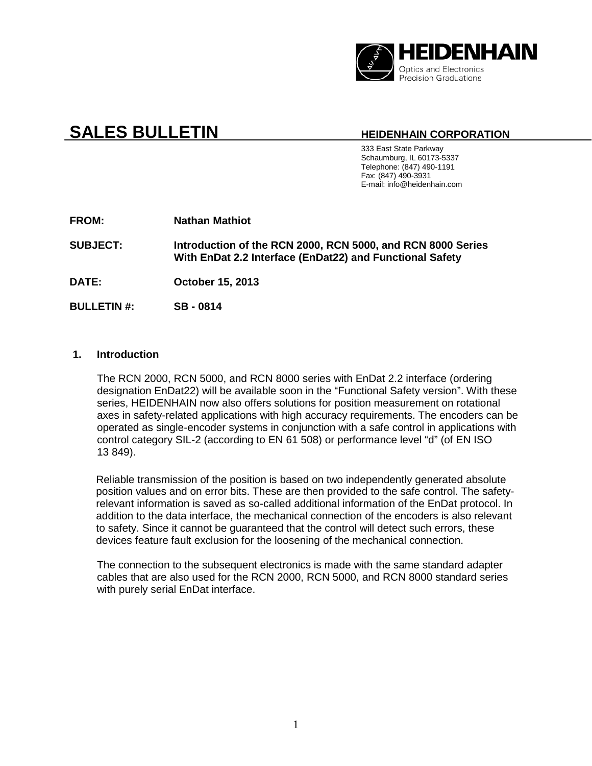

# **SALES BULLETIN HEIDENHAIN CORPORATION**

333 East State Parkway Schaumburg, IL 60173-5337 Telephone: (847) 490-1191 Fax: (847) 490-3931 E-mail: info@heidenhain.com

**FROM: Nathan Mathiot**

**SUBJECT: Introduction of the RCN 2000, RCN 5000, and RCN 8000 Series With EnDat 2.2 Interface (EnDat22) and Functional Safety**

**DATE: October 15, 2013**

**BULLETIN #: SB - 0814**

#### **1. Introduction**

The RCN 2000, RCN 5000, and RCN 8000 series with EnDat 2.2 interface (ordering designation EnDat22) will be available soon in the "Functional Safety version". With these series, HEIDENHAIN now also offers solutions for position measurement on rotational axes in safety-related applications with high accuracy requirements. The encoders can be operated as single-encoder systems in conjunction with a safe control in applications with control category SIL-2 (according to EN 61 508) or performance level "d" (of EN ISO 13 849).

Reliable transmission of the position is based on two independently generated absolute position values and on error bits. These are then provided to the safe control. The safetyrelevant information is saved as so-called additional information of the EnDat protocol. In addition to the data interface, the mechanical connection of the encoders is also relevant to safety. Since it cannot be guaranteed that the control will detect such errors, these devices feature fault exclusion for the loosening of the mechanical connection.

The connection to the subsequent electronics is made with the same standard adapter cables that are also used for the RCN 2000, RCN 5000, and RCN 8000 standard series with purely serial EnDat interface.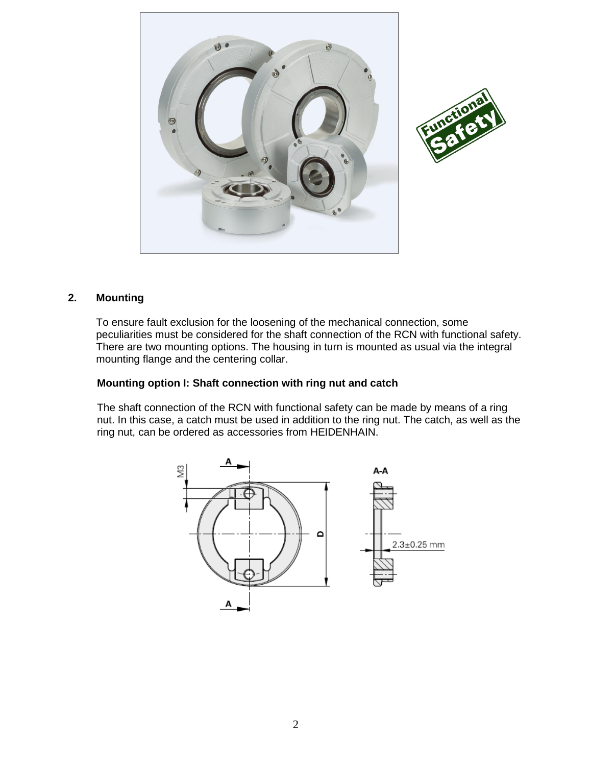

#### **2. Mounting**

To ensure fault exclusion for the loosening of the mechanical connection, some peculiarities must be considered for the shaft connection of the RCN with functional safety. There are two mounting options. The housing in turn is mounted as usual via the integral mounting flange and the centering collar.

## **Mounting option I: Shaft connection with ring nut and catch**

The shaft connection of the RCN with functional safety can be made by means of a ring nut. In this case, a catch must be used in addition to the ring nut. The catch, as well as the ring nut, can be ordered as accessories from HEIDENHAIN.

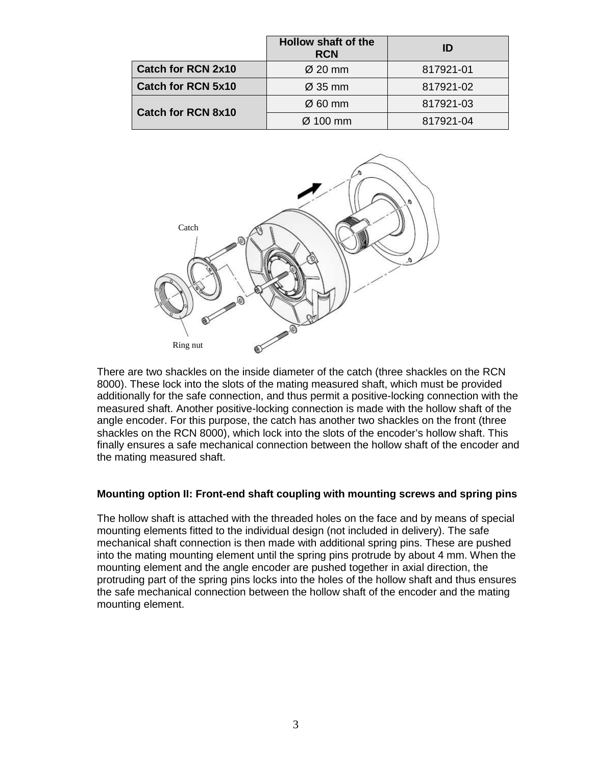|                           | Hollow shaft of the<br><b>RCN</b> | ID        |
|---------------------------|-----------------------------------|-----------|
| <b>Catch for RCN 2x10</b> | $\varnothing$ 20 mm               | 817921-01 |
| <b>Catch for RCN 5x10</b> | $\varnothing$ 35 mm               | 817921-02 |
| <b>Catch for RCN 8x10</b> | $\varnothing$ 60 mm               | 817921-03 |
|                           | $\varnothing$ 100 mm              | 817921-04 |



There are two shackles on the inside diameter of the catch (three shackles on the RCN 8000). These lock into the slots of the mating measured shaft, which must be provided additionally for the safe connection, and thus permit a positive-locking connection with the measured shaft. Another positive-locking connection is made with the hollow shaft of the angle encoder. For this purpose, the catch has another two shackles on the front (three shackles on the RCN 8000), which lock into the slots of the encoder's hollow shaft. This finally ensures a safe mechanical connection between the hollow shaft of the encoder and the mating measured shaft.

#### **Mounting option II: Front-end shaft coupling with mounting screws and spring pins**

The hollow shaft is attached with the threaded holes on the face and by means of special mounting elements fitted to the individual design (not included in delivery). The safe mechanical shaft connection is then made with additional spring pins. These are pushed into the mating mounting element until the spring pins protrude by about 4 mm. When the mounting element and the angle encoder are pushed together in axial direction, the protruding part of the spring pins locks into the holes of the hollow shaft and thus ensures the safe mechanical connection between the hollow shaft of the encoder and the mating mounting element.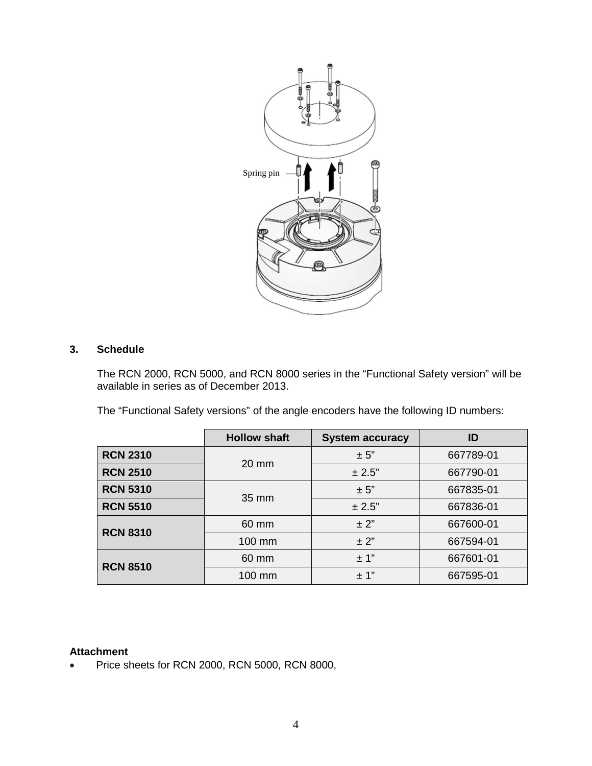

#### **3. Schedule**

The RCN 2000, RCN 5000, and RCN 8000 series in the "Functional Safety version" will be available in series as of December 2013.

The "Functional Safety versions" of the angle encoders have the following ID numbers:

|                 | <b>Hollow shaft</b> | <b>System accuracy</b> | ID        |
|-----------------|---------------------|------------------------|-----------|
| <b>RCN 2310</b> | $20 \text{ mm}$     | $\pm$ 5"               | 667789-01 |
| <b>RCN 2510</b> |                     | ± 2.5"                 | 667790-01 |
| <b>RCN 5310</b> | 35 mm               | $\pm$ 5"               | 667835-01 |
| <b>RCN 5510</b> |                     | ± 2.5"                 | 667836-01 |
| <b>RCN 8310</b> | 60 mm               | $\pm$ 2"               | 667600-01 |
|                 | 100 mm              | $\pm$ 2"               | 667594-01 |
| <b>RCN 8510</b> | 60 mm               | $\pm$ 1"               | 667601-01 |
|                 | 100 mm              | $\pm$ 1"               | 667595-01 |

### **Attachment**

• Price sheets for RCN 2000, RCN 5000, RCN 8000,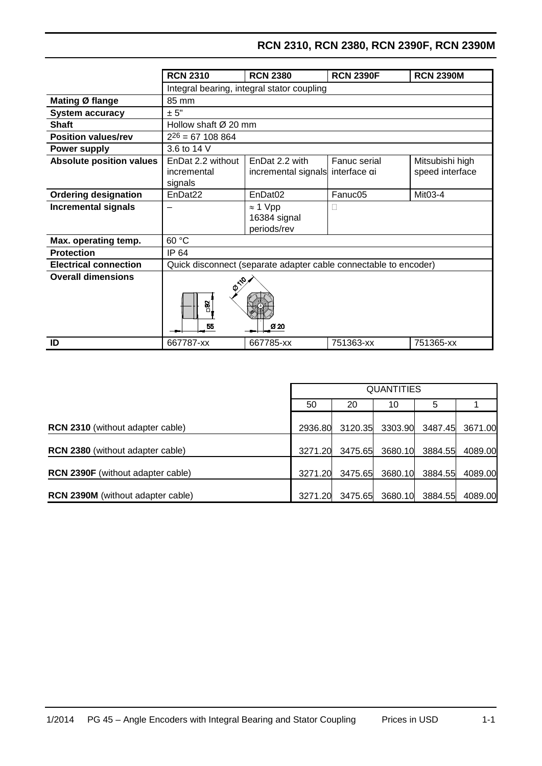# **RCN 2310, RCN 2380, RCN 2390F, RCN 2390M**

|                                 | <b>RCN 2310</b>                             | <b>RCN 2380</b>                                                  | <b>RCN 2390F</b> | <b>RCN 2390M</b>                   |  |  |
|---------------------------------|---------------------------------------------|------------------------------------------------------------------|------------------|------------------------------------|--|--|
|                                 |                                             | Integral bearing, integral stator coupling                       |                  |                                    |  |  |
| Mating Ø flange                 | 85 mm                                       |                                                                  |                  |                                    |  |  |
| <b>System accuracy</b>          | ± 5"                                        |                                                                  |                  |                                    |  |  |
| <b>Shaft</b>                    |                                             | Hollow shaft $\varnothing$ 20 mm                                 |                  |                                    |  |  |
| <b>Position values/rev</b>      | $2^{26} = 67$ 108 864                       |                                                                  |                  |                                    |  |  |
| <b>Power supply</b>             | 3.6 to 14 V                                 |                                                                  |                  |                                    |  |  |
| <b>Absolute position values</b> | EnDat 2.2 without<br>incremental<br>signals | EnDat 2.2 with<br>incremental signals interface ai               | Fanuc serial     | Mitsubishi high<br>speed interface |  |  |
| <b>Ordering designation</b>     | EnDat <sub>22</sub>                         | EnDat <sub>02</sub>                                              | Fanuc05          | Mit03-4                            |  |  |
| <b>Incremental signals</b>      |                                             | $\approx$ 1 Vpp<br>16384 signal<br>periods/rev                   | Н                |                                    |  |  |
| Max. operating temp.            | 60 °C                                       |                                                                  |                  |                                    |  |  |
| <b>Protection</b>               | IP 64                                       |                                                                  |                  |                                    |  |  |
| <b>Electrical connection</b>    |                                             | Quick disconnect (separate adapter cable connectable to encoder) |                  |                                    |  |  |
| <b>Overall dimensions</b>       | <b>P110</b><br>$\frac{32}{2}$<br>55<br>Ø 20 |                                                                  |                  |                                    |  |  |
| ID                              | 667787-xx                                   | 667785-xx                                                        | 751363-xx        | 751365-xx                          |  |  |

|                                          |         | <b>QUANTITIES</b> |         |         |         |  |
|------------------------------------------|---------|-------------------|---------|---------|---------|--|
|                                          | 50      | 20                | 10      | 5       |         |  |
| <b>RCN 2310</b> (without adapter cable)  | 2936.80 | 3120.35           | 3303.90 | 3487.45 | 3671.00 |  |
| <b>RCN 2380</b> (without adapter cable)  | 3271.20 | 3475.65           | 3680.10 | 3884.55 | 4089.00 |  |
| <b>RCN 2390F</b> (without adapter cable) | 3271.20 | 3475.65           | 3680.10 | 3884.55 | 4089.00 |  |
| <b>RCN 2390M</b> (without adapter cable) | 3271.20 | 3475.65           | 3680.10 | 3884.55 | 4089.00 |  |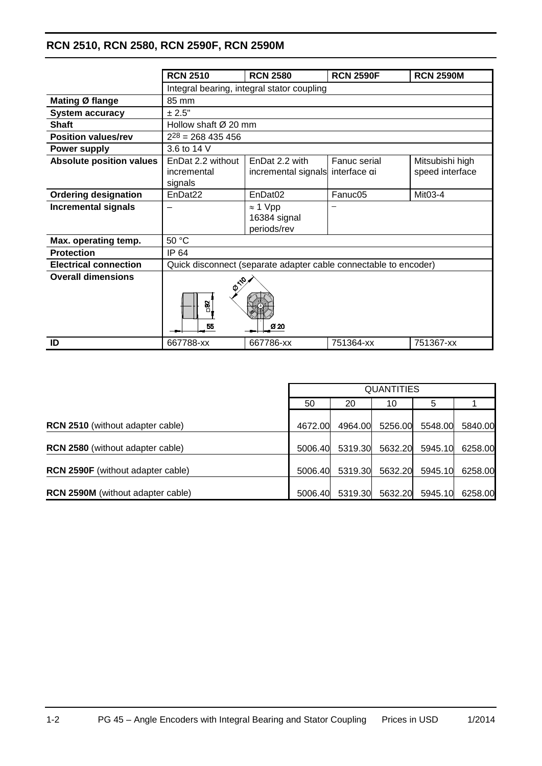# **RCN 2510, RCN 2580, RCN 2590F, RCN 2590M**

|                                 | <b>RCN 2510</b>                             | <b>RCN 2580</b>                                                  | <b>RCN 2590F</b>             | <b>RCN 2590M</b>                   |  |  |
|---------------------------------|---------------------------------------------|------------------------------------------------------------------|------------------------------|------------------------------------|--|--|
|                                 |                                             | Integral bearing, integral stator coupling                       |                              |                                    |  |  |
| Mating Ø flange                 | 85 mm                                       |                                                                  |                              |                                    |  |  |
| <b>System accuracy</b>          | ± 2.5"                                      |                                                                  |                              |                                    |  |  |
| <b>Shaft</b>                    | Hollow shaft Ø 20 mm                        |                                                                  |                              |                                    |  |  |
| <b>Position values/rev</b>      | $2^{28}$ = 268 435 456                      |                                                                  |                              |                                    |  |  |
| <b>Power supply</b>             | 3.6 to 14 V                                 |                                                                  |                              |                                    |  |  |
| <b>Absolute position values</b> | EnDat 2.2 without<br>incremental<br>signals | EnDat 2.2 with<br>incremental signals                            | Fanuc serial<br>interface αi | Mitsubishi high<br>speed interface |  |  |
| <b>Ordering designation</b>     | EnDat <sub>22</sub>                         | EnDat <sub>02</sub>                                              | Fanuc05                      | Mit03-4                            |  |  |
| <b>Incremental signals</b>      |                                             | $\approx$ 1 Vpp<br>16384 signal<br>periods/rev                   |                              |                                    |  |  |
| Max. operating temp.            | 50 °C                                       |                                                                  |                              |                                    |  |  |
| <b>Protection</b>               | IP 64                                       |                                                                  |                              |                                    |  |  |
| <b>Electrical connection</b>    |                                             | Quick disconnect (separate adapter cable connectable to encoder) |                              |                                    |  |  |
| <b>Overall dimensions</b>       | <b>P110</b><br>$\frac{32}{2}$<br>Ø 20<br>55 |                                                                  |                              |                                    |  |  |
| ID                              | 667788-xx                                   | 667786-xx                                                        | 751364-xx                    | 751367-xx                          |  |  |

|                                          |         |         | <b>QUANTITIES</b> |         |         |
|------------------------------------------|---------|---------|-------------------|---------|---------|
|                                          | 50      | 20      | 10                | 5       |         |
| <b>RCN 2510</b> (without adapter cable)  | 4672.00 | 4964.00 | 5256.00           | 5548.00 | 5840.00 |
| <b>RCN 2580</b> (without adapter cable)  | 5006.40 |         | 5319.30 5632.20   | 5945.10 | 6258.00 |
| <b>RCN 2590F</b> (without adapter cable) | 5006.40 | 5319.30 | 5632.20           | 5945.10 | 6258.00 |
| <b>RCN 2590M</b> (without adapter cable) | 5006.40 | 5319.30 | 5632.20           | 5945.10 | 6258.00 |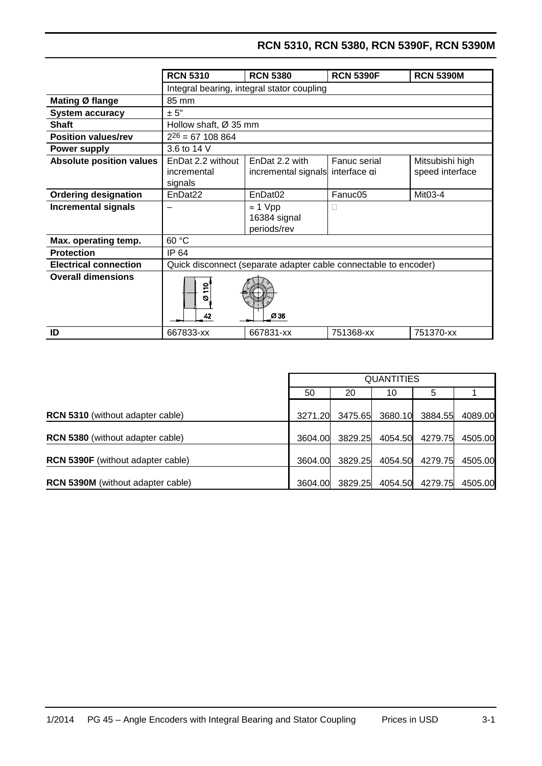# **RCN 5310, RCN 5380, RCN 5390F, RCN 5390M**

|                                 | <b>RCN 5310</b>                             | <b>RCN 5380</b>                                                  | <b>RCN 5390F</b> | <b>RCN 5390M</b>                   |  |  |
|---------------------------------|---------------------------------------------|------------------------------------------------------------------|------------------|------------------------------------|--|--|
|                                 |                                             | Integral bearing, integral stator coupling                       |                  |                                    |  |  |
| Mating Ø flange                 | 85 mm                                       |                                                                  |                  |                                    |  |  |
| <b>System accuracy</b>          | ± 5"                                        |                                                                  |                  |                                    |  |  |
| Shaft                           |                                             | Hollow shaft, Ø 35 mm                                            |                  |                                    |  |  |
| <b>Position values/rev</b>      | $2^{26} = 67$ 108 864                       |                                                                  |                  |                                    |  |  |
| <b>Power supply</b>             | 3.6 to 14 V                                 |                                                                  |                  |                                    |  |  |
| <b>Absolute position values</b> | EnDat 2.2 without<br>incremental<br>signals | EnDat 2.2 with<br>incremental signals interface ai               | Fanuc serial     | Mitsubishi high<br>speed interface |  |  |
| <b>Ordering designation</b>     | EnDat <sub>22</sub>                         | EnDat <sub>02</sub>                                              | Fanuc05          | Mit03-4                            |  |  |
| <b>Incremental signals</b>      |                                             | $\approx$ 1 Vpp<br>16384 signal<br>periods/rev                   | Ш                |                                    |  |  |
| Max. operating temp.            | 60 °C                                       |                                                                  |                  |                                    |  |  |
| <b>Protection</b>               | IP 64                                       |                                                                  |                  |                                    |  |  |
| <b>Electrical connection</b>    |                                             | Quick disconnect (separate adapter cable connectable to encoder) |                  |                                    |  |  |
| <b>Overall dimensions</b>       | 의<br>Ø<br>42                                | Ø35                                                              |                  |                                    |  |  |
| ID                              | 667833-xx                                   | 667831-xx                                                        | 751368-xx        | 751370-xx                          |  |  |

|                                         |         |         | <b>QUANTITIES</b> |         |         |
|-----------------------------------------|---------|---------|-------------------|---------|---------|
|                                         | 50      | 20      | 10                | 5       |         |
| <b>RCN 5310</b> (without adapter cable) | 3271.20 |         | 3475.65 3680.10   | 3884.55 | 4089.00 |
| <b>RCN 5380</b> (without adapter cable) | 3604.00 | 3829.25 | 4054.50           | 4279.75 | 4505.00 |
| RCN 5390F (without adapter cable)       | 3604.00 | 3829.25 | 4054.50           | 4279.75 | 4505.00 |
| RCN 5390M (without adapter cable)       | 3604.00 | 3829.25 | 4054.50           | 4279.75 | 4505.00 |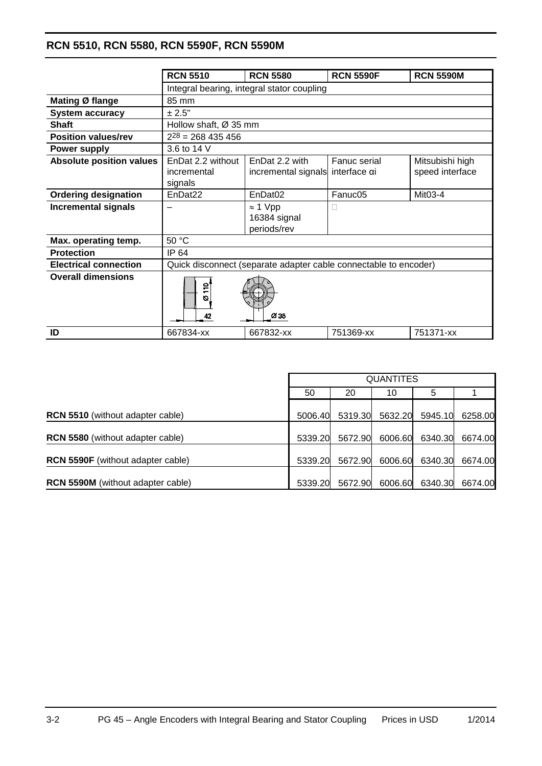# **RCN 5510, RCN 5580, RCN 5590F, RCN 5590M**

|                                 | <b>RCN 5510</b>                             | <b>RCN 5580</b>                                                  | <b>RCN 5590F</b>             | <b>RCN 5590M</b>                   |  |  |
|---------------------------------|---------------------------------------------|------------------------------------------------------------------|------------------------------|------------------------------------|--|--|
|                                 |                                             | Integral bearing, integral stator coupling                       |                              |                                    |  |  |
| Mating Ø flange                 | 85 mm                                       |                                                                  |                              |                                    |  |  |
| <b>System accuracy</b>          | ± 2.5"                                      |                                                                  |                              |                                    |  |  |
| <b>Shaft</b>                    |                                             | Hollow shaft, $\varnothing$ 35 mm                                |                              |                                    |  |  |
| <b>Position values/rev</b>      | $2^{28}$ = 268 435 456                      |                                                                  |                              |                                    |  |  |
| <b>Power supply</b>             | 3.6 to 14 V                                 |                                                                  |                              |                                    |  |  |
| <b>Absolute position values</b> | EnDat 2.2 without<br>incremental<br>signals | EnDat 2.2 with<br>incremental signals                            | Fanuc serial<br>interface αi | Mitsubishi high<br>speed interface |  |  |
| <b>Ordering designation</b>     | EnDat <sub>22</sub>                         | EnDat <sub>02</sub>                                              | Fanuc05                      | Mit03-4                            |  |  |
| <b>Incremental signals</b>      |                                             | $\approx$ 1 Vpp<br>16384 signal<br>periods/rev                   | Ш                            |                                    |  |  |
| Max. operating temp.            | 50 °C                                       |                                                                  |                              |                                    |  |  |
| <b>Protection</b>               | IP 64                                       |                                                                  |                              |                                    |  |  |
| <b>Electrical connection</b>    |                                             | Quick disconnect (separate adapter cable connectable to encoder) |                              |                                    |  |  |
| <b>Overall dimensions</b>       | $\frac{1}{2}$<br>ø<br>42                    | Ø35                                                              |                              |                                    |  |  |
| ID                              | 667834-xx                                   | 667832-xx                                                        | 751369-xx                    | 751371-xx                          |  |  |

|                                         |         |         | <b>QUANTITES</b> |                 |         |
|-----------------------------------------|---------|---------|------------------|-----------------|---------|
|                                         | 50      | 20      | 10               | 5               |         |
| <b>RCN 5510</b> (without adapter cable) | 5006.40 | 5319.30 | 5632.20          | 5945.10         | 6258.00 |
| RCN 5580 (without adapter cable)        | 5339.20 | 5672.90 |                  | 6006.60 6340.30 | 6674.00 |
| RCN 5590F (without adapter cable)       | 5339.20 | 5672.90 |                  | 6006.60 6340.30 | 6674.00 |
| RCN 5590M (without adapter cable)       | 5339.20 | 5672.90 |                  | 6006.60 6340.30 | 6674.00 |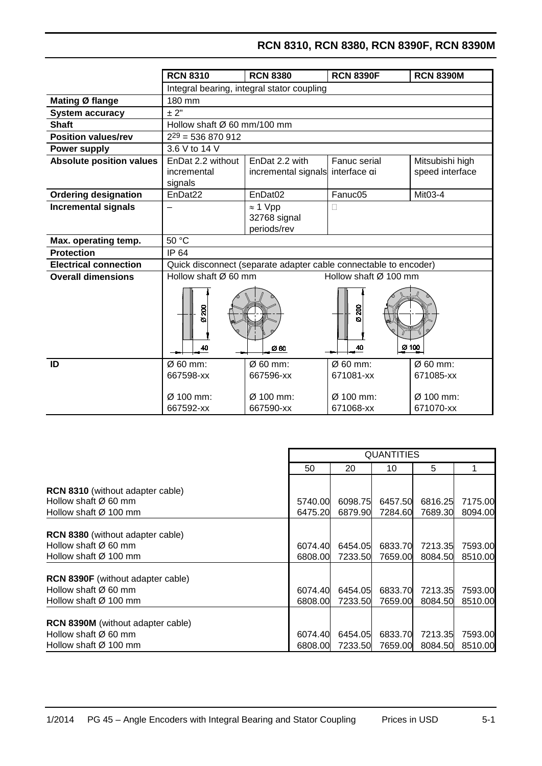# **RCN 8310, RCN 8380, RCN 8390F, RCN 8390M**

|                                 | <b>RCN 8310</b>                                   | <b>RCN 8380</b>                                                  | <b>RCN 8390F</b>                                            | <b>RCN 8390M</b>                                            |
|---------------------------------|---------------------------------------------------|------------------------------------------------------------------|-------------------------------------------------------------|-------------------------------------------------------------|
|                                 |                                                   | Integral bearing, integral stator coupling                       |                                                             |                                                             |
| Mating Ø flange                 | 180 mm                                            |                                                                  |                                                             |                                                             |
| <b>System accuracy</b>          | ± 2"                                              |                                                                  |                                                             |                                                             |
| <b>Shaft</b>                    | Hollow shaft $\varnothing$ 60 mm/100 mm           |                                                                  |                                                             |                                                             |
| <b>Position values/rev</b>      | $2^{29}$ = 536 870 912                            |                                                                  |                                                             |                                                             |
| <b>Power supply</b>             | 3.6 V to 14 V                                     |                                                                  |                                                             |                                                             |
| <b>Absolute position values</b> | EnDat 2.2 without                                 | EnDat 2.2 with                                                   | Fanuc serial                                                | Mitsubishi high                                             |
|                                 | incremental                                       | incremental signals                                              | interface αi                                                | speed interface                                             |
|                                 | signals                                           |                                                                  |                                                             |                                                             |
| <b>Ordering designation</b>     | EnDat <sub>22</sub>                               | EnDat <sub>02</sub>                                              | Fanuc05                                                     | Mit03-4                                                     |
| <b>Incremental signals</b>      |                                                   | $\approx$ 1 Vpp                                                  | П                                                           |                                                             |
|                                 |                                                   | 32768 signal                                                     |                                                             |                                                             |
|                                 |                                                   | periods/rev                                                      |                                                             |                                                             |
| Max. operating temp.            | 50 °C                                             |                                                                  |                                                             |                                                             |
| <b>Protection</b>               | <b>IP 64</b>                                      |                                                                  |                                                             |                                                             |
| <b>Electrical connection</b>    |                                                   | Quick disconnect (separate adapter cable connectable to encoder) |                                                             |                                                             |
| <b>Overall dimensions</b>       | Hollow shaft $\varnothing$ 60 mm                  |                                                                  | Hollow shaft Ø 100 mm                                       |                                                             |
|                                 | 200<br>ø<br>40                                    | Ø 60                                                             | 200<br>Ø<br>40                                              | $\cancel{0}$ 100                                            |
| ID                              | Ø 60 mm:<br>667598-xx<br>$Ø$ 100 mm:<br>667592-xx | $Ø$ 60 mm:<br>667596-xx<br>$Ø$ 100 mm:<br>667590-xx              | $\varnothing$ 60 mm:<br>671081-xx<br>Ø 100 mm:<br>671068-xx | Ø 60 mm:<br>671085-xx<br>$\varnothing$ 100 mm:<br>671070-xx |

|                                                                                                                   |                                                                                                            |                    | <b>QUANTITIES</b>          |                    |                    |
|-------------------------------------------------------------------------------------------------------------------|------------------------------------------------------------------------------------------------------------|--------------------|----------------------------|--------------------|--------------------|
|                                                                                                                   | 50                                                                                                         | 20                 | 10                         | 5                  |                    |
| <b>RCN 8310</b> (without adapter cable)<br>Hollow shaft $\varnothing$ 60 mm<br>Hollow shaft $\varnothing$ 100 mm  | 5740.00<br>6457.50<br>6816.25<br>7175.00<br>6098.75<br>8094.00<br>6475.20<br>6879.90<br>7284.60<br>7689.30 |                    |                            |                    |                    |
| <b>RCN 8380</b> (without adapter cable)<br>Hollow shaft $\varnothing$ 60 mm<br>Hollow shaft $\varnothing$ 100 mm  | 6074.40<br>6808.00                                                                                         | 6454.05<br>7233.50 | 6833.70<br>7659.00         | 7213.35<br>8084.50 | 7593.00<br>8510.00 |
| <b>RCN 8390F</b> (without adapter cable)<br>Hollow shaft $\varnothing$ 60 mm<br>Hollow shaft $\varnothing$ 100 mm | 6074.40<br>6808.00                                                                                         | 6454.05<br>7233.50 | 6833.70<br>7659.00         | 7213.35<br>8084.50 | 7593.00<br>8510.00 |
| <b>RCN 8390M</b> (without adapter cable)<br>Hollow shaft $\varnothing$ 60 mm<br>Hollow shaft $\varnothing$ 100 mm | 6074.40<br>6808.00                                                                                         | 6454.05            | 6833.70<br>7233.50 7659.00 | 7213.35<br>8084.50 | 7593.00<br>8510.00 |